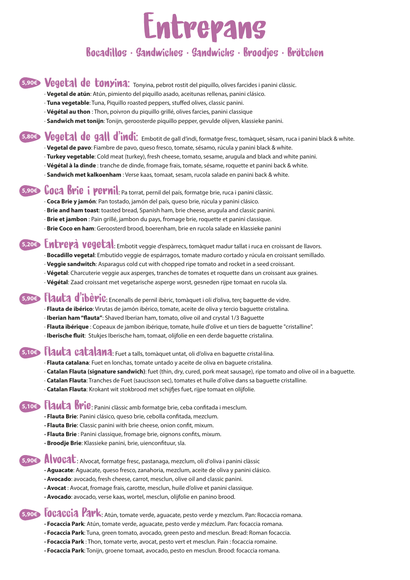# Entrepans

## Bocadillos · Sandwiches · Sandwichs · Broodjes · Brötchen

## **5,908 Vegetal de tonyina:** Tonyina, pebrot rostit del piquillo, olives farcides i panini clàssic.

· **Vegetal de atún**: Atún, pimiento del piquillo asado, aceitunas rellenas, panini clásico.

- · **Tuna vegetable**: Tuna, Piquillo roasted peppers, stuffed olives, classic panini.
- · **Végétal au thon** : Thon, poivron du piquillo grillé, olives farcies, panini classique
- · **Sandwich met tonijn**: Tonijn, geroosterde piquillo pepper, gevulde olijven, klassieke panini.

## **5,80€** Vegetal de gall d'indi: Embotit de gall d'indi, formatge fresc, tomàquet, sèsam, ruca i panini black & white.

- · **Vegetal de pavo**: Fiambre de pavo, queso fresco, tomate, sésamo, rúcula y panini black & white.
- · **Turkey vegetable**: Cold meat (turkey), fresh cheese, tomato, sesame, arugula and black and white panini.
- · **Végétal à la dinde** : tranche de dinde, fromage frais, tomate, sésame, roquette et panini back & white.
- · **Sandwich met kalkoenham** : Verse kaas, tomaat, sesam, rucola salade en panini back & white.

## **5,90€ COCA Brie i pernil**: Pa torrat, pernil del país, formatge brie, ruca i panini clàssic.

- · **Coca Brie y jamón**: Pan tostado, jamón del país, queso brie, rúcula y panini clásico.
- · **Brie and ham toast**: toasted bread, Spanish ham, brie cheese, arugula and classic panini.
- · **Brie et jambon** : Pain grillé, jambon du pays, fromage brie, roquette et panini classique.
- · **Brie Coco en ham**: Geroosterd brood, boerenham, brie en rucola salade en klassieke panini

## Entrepà vegetal: Embotit veggie d'espàrrecs, tomàquet madur tallat i ruca en croissant de llavors. **5,20€**

- · **Bocadillo vegetal**: Embutido veggie de espárragos, tomate maduro cortado y rúcula en croissant semillado.
- · **Veggie sandwitch**: Asparagus cold cut with chopped ripe tomato and rocket in a seed croissant.
- · **Végetal**: Charcuterie veggie aux asperges, tranches de tomates et roquette dans un croissant aux graines.
- · **Végétal**: Zaad croissant met vegetarische asperge worst, gesneden rijpe tomaat en rucola sla.

## **Flauta d'ibèric**: Encenalls de pernil ibèric, tomàquet i oli d'oliva, terç baguette de vidre.

- · **Flauta de ibérico**: Virutas de jamón ibérico, tomate, aceite de oliva y tercio baguette cristalina.
- · **Iberian ham "auta"**: Shaved Iberian ham, tomato, olive oil and crystal 1/3 Baguette
- · **Flauta ibérique** : Copeaux de jambon ibérique, tomate, huile d'olive et un tiers de baguette "cristalline".
- · Iberische fluit: Stukjes Iberische ham, tomaat, olijfolie en een derde baquette cristalina.

## **5,10€ [auta catalana**: Fuet a talls, tomàquet untat, oli d'oliva en baguette cristal·lina.

- · **Flauta catalana**: Fuet en lonchas, tomate untado y aceite de oliva en baguete cristalina.
- · **Catalan Flauta (signature sandwich)**: fuet (thin, dry, cured, pork meat sausage), ripe tomato and olive oil in a baguette.
- · **Catalan Flauta**: Tranches de Fuet (saucisson sec), tomates et huile d'olive dans sa baguette cristalline.
- · **Catalan Flauta**: Krokant wit stokbrood met schijes fuet, rijpe tomaat en olijfolie.

## **5,10€ Flauta Brie**: Panini clàssic amb formatge brie, ceba confitada i mesclum.

- **· Flauta Brie**: Panini clásico, queso brie, cebolla confitada, mezclum.
- **· Flauta Brie**: Classic panini with brie cheese, onion confit, mixum.
- **· Flauta Brie**: Panini classique, fromage brie, oignons confits, mixum.
- **· Broodie Brie**: Klassieke panini, brie, uienconfituur, sla.

#### **5,90€**

### Alvocat: Alvocat, formatge fresc, pastanaga, mezclum, oli d'oliva i panini clàssic

- **· Aguacate**: Aguacate, queso fresco, zanahoria, mezclum, aceite de oliva y panini clásico.
- **· Avocado**: avocado, fresh cheese, carrot, mesclun, olive oil and classic panini.
- **· Avocat** : Avocat, fromage frais, carotte, mesclun, huile d'olive et panini classique.
- **· Avocado**: avocado, verse kaas, wortel, mesclun, olijfolie en panino brood.

#### Focaccia Park: Atún, tomate verde, aguacate, pesto verde y mezclum. Pan: Rocaccia romana. **5,90€**

- **· Focaccia Park**: Atún, tomate verde, aguacate, pesto verde y mézclum. Pan: focaccia romana.
- **· Focaccia Park**: Tuna, green tomato, avocado, green pesto and mesclun. Bread: Roman focaccia.
- **· Focaccia Park** : Thon, tomate verte, avocat, pesto vert et mesclun. Pain : focaccia romaine.
- **· Focaccia Park**: Tonijn, groene tomaat, avocado, pesto en mesclun. Brood: focaccia romana.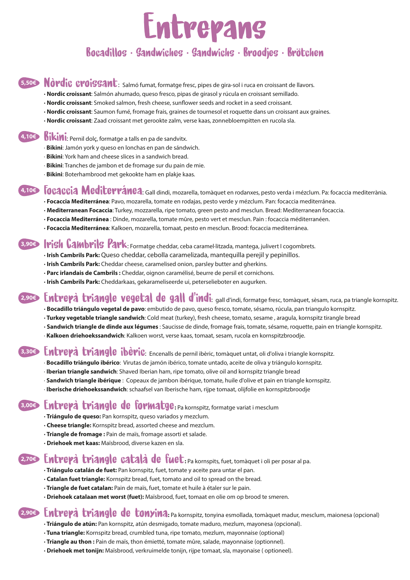# Entrepans

### Bocadillos · Sandwiches · Sandwichs · Broodjes · Brötchen

## **5,50€ Nòrdic croissant**: Salmó fumat, formatge fresc, pipes de gira-sol i ruca en croissant de llavors.

- **· Nordic croissant**: Salmón ahumado, queso fresco, pipas de girasol y rúcula en croissant semillado.
- **· Nordic croissant**: Smoked salmon, fresh cheese, sunflower seeds and rocket in a seed croissant.
- **· Nordic croissant**: Saumon fumé, fromage frais, graines de tournesol et roquette dans un croissant aux graines.
- **· Nordic croissant**: Zaad croissant met gerookte zalm, verse kaas, zonnebloempitten en rucola sla.
- **Bikini**: Pernil dolç, formatge a talls en pa de sandvitx. **4,10€**
	- · **Bikini**: Jamón york y queso en lonchas en pan de sándwich.
	- · **Bikini**: York ham and cheese slices in a sandwich bread.
	- · **Bikini**: Tranches de jambon et de fromage sur du pain de mie.
	- · **Bikini**: Boterhambrood met gekookte ham en plakje kaas.

## 4,10**€ <sup>F</sup>OCACCIA Mediterránea**: Gall dindi, mozarella, tomàquet en rodanxes, pesto verda i mézclum. Pa: focaccia mediterrània.

- **· Focaccia Mediterránea**: Pavo, mozarella, tomate en rodajas, pesto verde y mézclum. Pan: focaccia mediterránea.
- **· Mediterranean Focaccia**: Turkey, mozzarella, ripe tomato, green pesto and mesclun. Bread: Mediterranean focaccia.
- **· Focaccia Mediterránea** : Dinde, mozarella, tomate mûre, pesto vert et mesclun. Pain : focaccia méditerranéen.
- **· Focaccia Mediterránea**: Kalkoen, mozarella, tomaat, pesto en mesclun. Brood: focaccia mediterránea.

## **3,90€ | righ Cambrilg Park**: Formatge cheddar, ceba caramel·litzada, mantega, julivert I cogombrets.

- **· Irish Cambrils Park:** Queso cheddar, cebolla caramelizada, mantequilla perejil y pepinillos.
- **· Irish Cambrils Park:** Cheddar cheese, caramelised onion, parsley butter and gherkins.
- **· Parc irlandais de Cambrils :** Cheddar, oignon caramélisé, beurre de persil et cornichons.
- **· Irish Cambrils Park:** Cheddarkaas, gekarameliseerde ui, peterselieboter en augurken.

## 2,90<del>8</del> [ntreyà triangle vegetal de gall d'indi: gall d'indi, formatge fresc, tomàquet, sèsam, ruca, pa triangle kornspitz.

- **· Bocadillo triángulo vegetal de pavo**: embutido de pavo, queso fresco, tomate, sésamo, rúcula, pan triangulo kornspitz.
- **· Turkey vegetable triangle sandwich**: Cold meat (turkey), fresh cheese, tomato, sesame , aragula, kornspitz tirangle bread
- **· Sandwich triangle de dinde aux légumes** : Saucisse de dinde, fromage frais, tomate, sésame, roquette, pain en triangle kornspitz.
- · **Kalkoen driehoekssandwich**: Kalkoen worst, verse kaas, tomaat, sesam, rucola en kornspitzbroodje.

## **3,30€ Entreyà triangle ibèric**: Encenalls de pernil ibèric, tomàquet untat, oli d'oliva i triangle kornspitz.

- · **Bocadillo triángulo ibérico**: Virutas de jamón ibérico, tomate untado, aceite de oliva y triángulo kornspitz.
- · **Iberian triangle sandwich**: Shaved Iberian ham, ripe tomato, olive oil and kornspitz triangle bread
- · **Sandwich triangle ibérique** : Copeaux de jambon ibérique, tomate, huile d'olive et pain en triangle kornspitz.
- · **Iberische driehoekssandwich**: schaafsel van Iberische ham, rijpe tomaat, olijfolie en kornspitzbroodje

## **3,008** Entrerà triangle de formatge: Pa kornspitz, formatge variat i mesclum

- **· Triángulo de queso:** Pan kornspitz, queso variados y mezclum.
- **· Cheese triangle:** Kornspitz bread, assorted cheese and mezclum.
- **· Triangle de fromage :** Pain de maïs, fromage assorti et salade.
- **· Driehoek met kaas:** Maïsbrood, diverse kazen en sla.

## 2,70<del>8</del> [ntreyà triangle català de fuet: Pa kornspits, fuet, tomàquet i oli per posar al pa.

- **· Triángulo catalán de fuet:** Pan kornspitz, fuet, tomate y aceite para untar el pan.
- **· Catalan fuet triangle:** Kornspitz bread, fuet, tomato and oil to spread on the bread.
- **· Triangle de fuet catalan:** Pain de maïs, fuet, tomate et huile à étaler sur le pain.
- **· Driehoek catalaan met worst (fuet):** Maïsbrood, fuet, tomaat en olie om op brood te smeren.

#### Entrerà triangle de tonyina: Pa kornspitz, tonyina esmollada, tomàquet madur, mesclum, maionesa (opcional) **2,90€**

- **· Triángulo de atún:** Pan kornspitz, atún desmigado, tomate maduro, mezlum, mayonesa (opcional).
- **· Tuna triangle:** Kornspitz bread, crumbled tuna, ripe tomato, mezlum, mayonnaise (optional)
- **· Triangle au thon :** Pain de maïs, thon émietté, tomate mûre, salade, mayonnaise (optionnel).
- **· Driehoek met tonijn:** Maïsbrood, verkruimelde tonijn, rijpe tomaat, sla, mayonaise ( optioneel).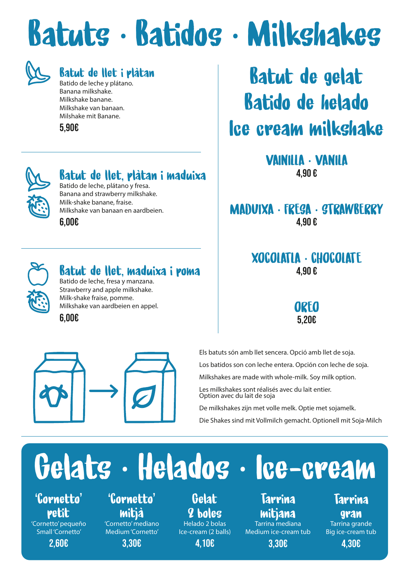# Batuts · Batidos · Milkshakes



## Batut de llet i plàtan

Batido de leche y plátano. Banana milkshake. Milkshake banane. Milkshake van banaan. Milshake mit Banane.

5,90€



## Batut de llet, plàtan i maduixa

Batido de leche, plátano y fresa. Banana and strawberry milkshake. Milk-shake banane, fraise. Milkshake van banaan en aardbeien. 6,00€

Batut de gelat Batido de helado Ice cream milkshake

> VAINILLA · VANILA 4,90 €

MADUIXA · FRESA · STRAWBERRY 4,90 €

> XOCOLATLA · CHOCOLATE 4,90 €



## Batut de llet, maduixa i poma

Batido de leche, fresa y manzana. Strawberry and apple milkshake. Milk-shake fraise, pomme. Milkshake van aardbeien en appel.

6,00€





Els batuts són amb llet sencera. Opció amb llet de soja.

Los batidos son con leche entera. Opción con leche de soja.

Milkshakes are made with whole-milk. Soy milk option.

Les milkshakes sont réalisés avec du lait entier. Option avec du lait de soja

De milkshakes zijn met volle melk. Optie met sojamelk. Die Shakes sind mit Vollmilch gemacht. Optionell mit Soja-Milch

# Gelats · Helados · Ice-cream

'Cornetto' petit

'Cornetto' pequeño Small 'Cornetto'

2,60€

## 'Cornetto' **Mitja**

'Cornetto' mediano Medium 'Cornetto'

3,30€

## **Gelat** 2 boles

Helado 2 bolas Ice-cream (2 balls)

4,10€

Tarrina mitiana

Tarrina mediana Medium ice-cream tub 3,30€

Tarrina gran

Tarrina grande Big ice-cream tub 4,30€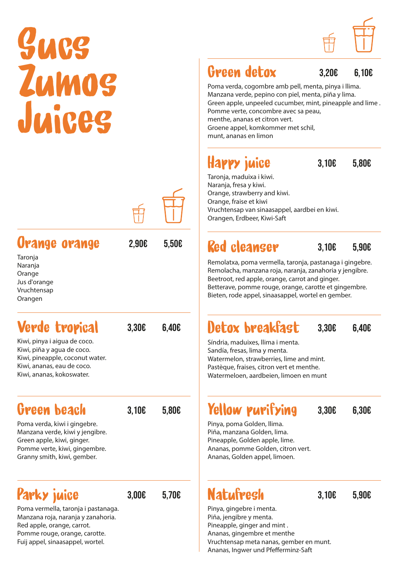# **Sucs** Zumos Juices



# Green detox 3.20€ 6.10€

Poma verda, cogombre amb pell, menta, pinya i llima. Manzana verde, pepino con piel, menta, piña y lima. Green apple, unpeeled cucumber, mint, pineapple and lime . Pomme verte, concombre avec sa peau, menthe, ananas et citron vert. Groene appel, komkommer met schil, munt, ananas en limon

# Happy juice 3,10€ 5,80€

Taronja, maduixa i kiwi. Naranja, fresa y kiwi. Orange, strawberry and kiwi. Orange, fraise et kiwi Vruchtensap van sinaasappel, aardbei en kiwi. Orangen, Erdbeer, Kiwi-Saft

# Red cleanser 3,10€ 5,90€

Remolatxa, poma vermella, taronja, pastanaga i gingebre. Remolacha, manzana roja, naranja, zanahoria y jengibre. Beetroot, red apple, orange, carrot and ginger. Betterave, pomme rouge, orange, carotte et gingembre. Bieten, rode appel, sinaasappel, wortel en gember.

## Detox breakfast 3,30€ 6,40€

Síndria, maduixes, llima i menta. Sandía, fresas, lima y menta. Watermelon, strawberries, lime and mint. Pastèque, fraises, citron vert et menthe. Watermeloen, aardbeien, limoen en munt

## Yellow **purifying** 3,30€ 6,30€

Pinya, poma Golden, llima. Piña, manzana Golden, lima. Pineapple, Golden apple, lime. Ananas, pomme Golden, citron vert. Ananas, Golden appel, limoen.

## Natufresh 3,10€ 5,90€

Pinya, gingebre i menta. Piña, jengibre y menta. Pineapple, ginger and mint . Ananas, gingembre et menthe Vruchtensap meta nanas, gember en munt. Ananas, Ingwer und Pfefferminz-Saft

| Orange orange | 2,90€ | 5,506 |
|---------------|-------|-------|
| Taronja       |       |       |

Taronj Naranja **Orange** Jus d'orange Vruchtensap Orangen

# Verde tropical 3,30€ 6,40€

Kiwi, pinya i aigua de coco. Kiwi, piña y agua de coco. Kiwi, pineapple, coconut water. Kiwi, ananas, eau de coco. Kiwi, ananas, kokoswater.

## Green beach 3,10€ 5,80€

Poma verda, kiwi i gingebre. Manzana verde, kiwi y jengibre. Green apple, kiwi, ginger. Pomme verte, kiwi, gingembre. Granny smith, kiwi, gember.

Parky juice 3,00€ 5,70€

Poma vermella, taronja i pastanaga. Manzana roja, naranja y zanahoria. Red apple, orange, carrot. Pomme rouge, orange, carotte. Fuij appel, sinaasappel, wortel.